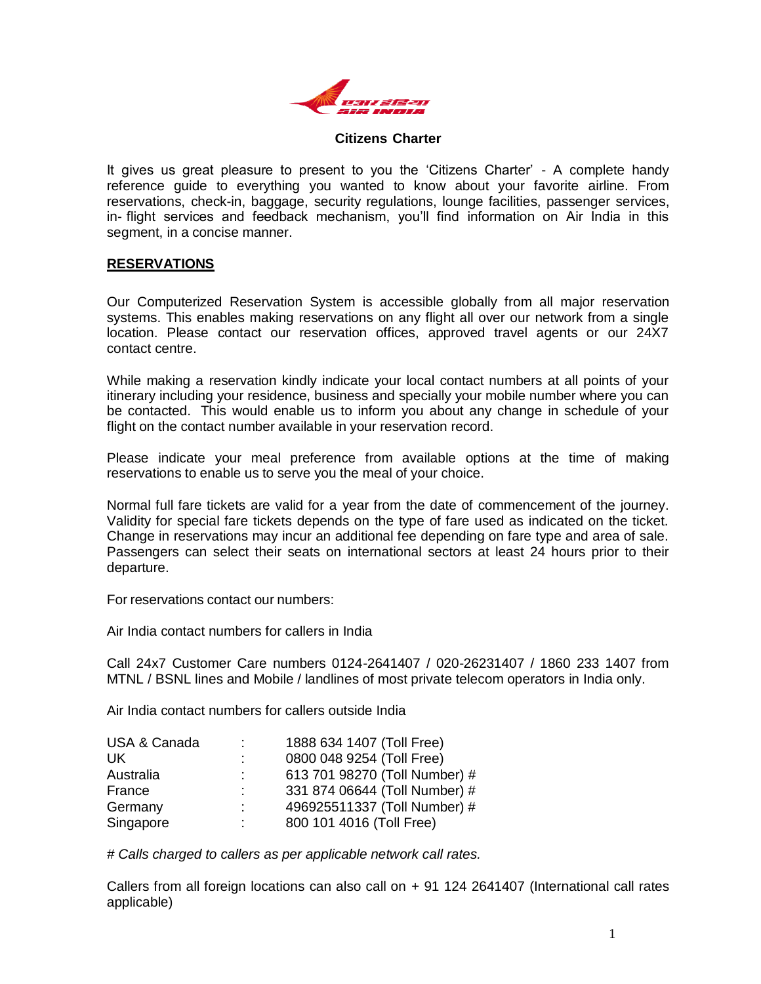

#### **Citizens Charter**

It gives us great pleasure to present to you the 'Citizens Charter' - A complete handy reference guide to everything you wanted to know about your favorite airline. From reservations, check-in, baggage, security regulations, lounge facilities, passenger services, in- flight services and feedback mechanism, you'll find information on Air India in this segment, in a concise manner.

#### **RESERVATIONS**

Our Computerized Reservation System is accessible globally from all major reservation systems. This enables making reservations on any flight all over our network from a single location. Please contact our reservation offices, approved travel agents or our 24X7 contact centre.

While making a reservation kindly indicate your local contact numbers at all points of your itinerary including your residence, business and specially your mobile number where you can be contacted. This would enable us to inform you about any change in schedule of your flight on the contact number available in your reservation record.

Please indicate your meal preference from available options at the time of making reservations to enable us to serve you the meal of your choice.

Normal full fare tickets are valid for a year from the date of commencement of the journey. Validity for special fare tickets depends on the type of fare used as indicated on the ticket. Change in reservations may incur an additional fee depending on fare type and area of sale. Passengers can select their seats on international sectors at least 24 hours prior to their departure.

For reservations contact our numbers:

Air India contact numbers for callers in India

Call 24x7 Customer Care numbers 0124-2641407 / 020-26231407 / 1860 233 1407 from MTNL / BSNL lines and Mobile / landlines of most private telecom operators in India only.

Air India contact numbers for callers outside India

| <b>USA &amp; Canada</b> | 1888 634 1407 (Toll Free)     |
|-------------------------|-------------------------------|
| UK.                     | 0800 048 9254 (Toll Free)     |
| Australia               | 613 701 98270 (Toll Number) # |
| France                  | 331 874 06644 (Toll Number) # |
| Germany                 | 496925511337 (Toll Number) #  |
| Singapore               | 800 101 4016 (Toll Free)      |

*# Calls charged to callers as per applicable network call rates.*

Callers from all foreign locations can also call on  $+$  91 124 2641407 (International call rates applicable)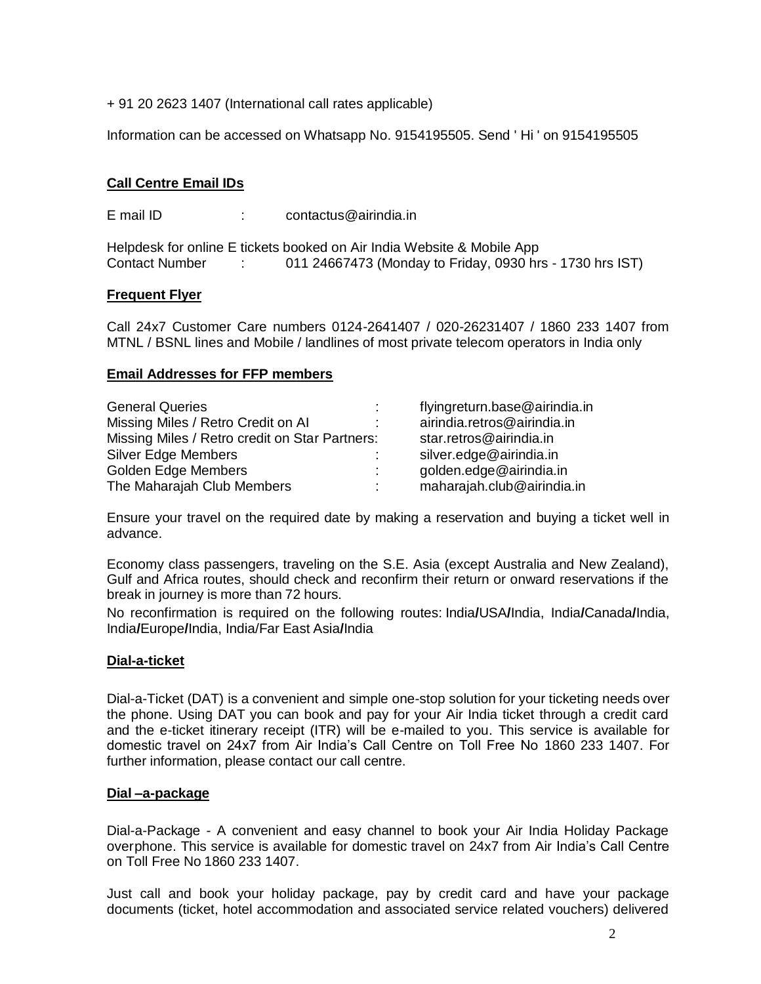+ 91 20 2623 1407 (International call rates applicable)

Information can be accessed on Whatsapp No. 9154195505. Send ' Hi ' on 9154195505

# **Call Centre Email IDs**

E mail ID : contactus@airindia.in

Helpdesk for online E tickets booked on Air India Website & Mobile App Contact Number : 011 24667473 (Monday to Friday, 0930 hrs - 1730 hrs IST)

## **Frequent Flyer**

Call 24x7 Customer Care numbers 0124-2641407 / 020-26231407 / 1860 233 1407 from MTNL / BSNL lines and Mobile / landlines of most private telecom operators in India only

## **Email Addresses for FFP members**

| <b>General Queries</b>                         |  | flyingreturn.base@airindia.in |
|------------------------------------------------|--|-------------------------------|
| Missing Miles / Retro Credit on Al             |  | airindia.retros@airindia.in   |
| Missing Miles / Retro credit on Star Partners: |  | star.retros@airindia.in       |
| Silver Edge Members                            |  | silver.edge@airindia.in       |
| Golden Edge Members                            |  | golden.edge@airindia.in       |
| The Maharajah Club Members                     |  | maharajah.club@airindia.in    |

Ensure your travel on the required date by making a reservation and buying a ticket well in advance.

Economy class passengers, traveling on the S.E. Asia (except Australia and New Zealand), Gulf and Africa routes, should check and reconfirm their return or onward reservations if the break in journey is more than 72 hours.

No reconfirmation is required on the following routes: India**/**USA**/**India, India**/**Canada**/**India, India**/**Europe**/**India, India/Far East Asia**/**India

# **Dial-a-ticket**

Dial-a-Ticket (DAT) is a convenient and simple one-stop solution for your ticketing needs over the phone. Using DAT you can book and pay for your Air India ticket through a credit card and the e-ticket itinerary receipt (ITR) will be e-mailed to you. This service is available for domestic travel on 24x7 from Air India's Call Centre on Toll Free No 1860 233 1407. For further information, please contact our call centre.

#### **Dial –a-package**

Dial-a-Package - A convenient and easy channel to book your Air India Holiday Package overphone. This service is available for domestic travel on 24x7 from Air India's Call Centre on Toll Free No 1860 233 1407.

Just call and book your holiday package, pay by credit card and have your package documents (ticket, hotel accommodation and associated service related vouchers) delivered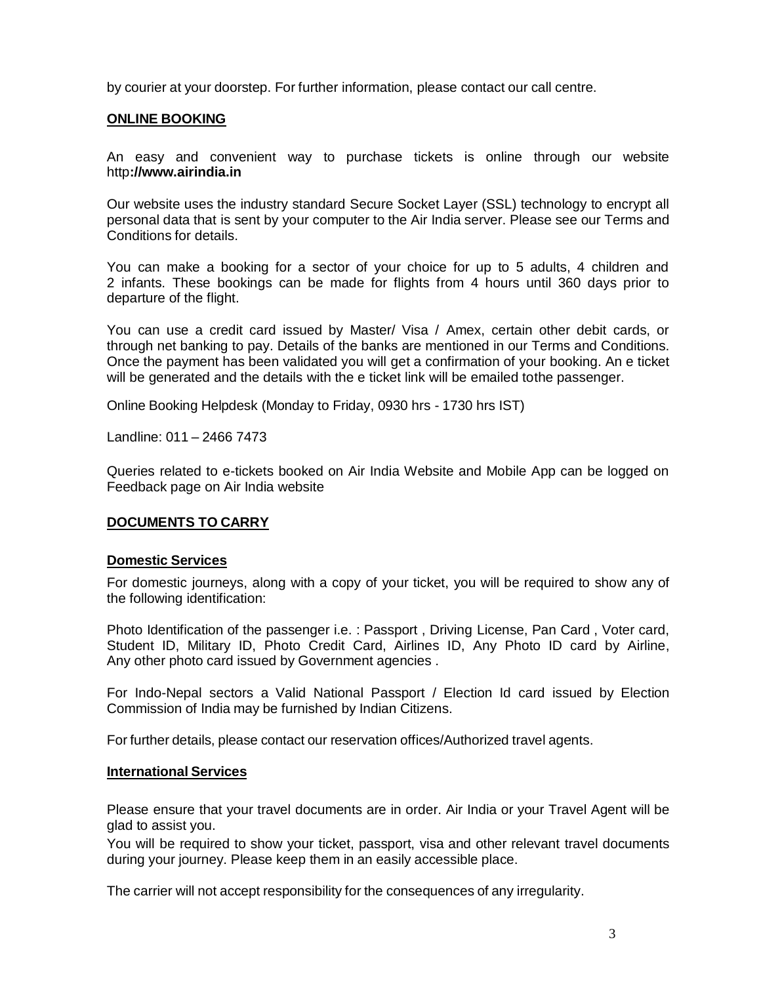by courier at your doorstep. For further information, please contact our call centre.

## **ONLINE BOOKING**

An easy and convenient way to purchase tickets is online through our website http**[://www.airindia.in](http://www.airindia.in/)**

Our website uses the industry standard Secure Socket Layer (SSL) technology to encrypt all personal data that is sent by your computer to the Air India server. Please see our Terms and Conditions for details.

You can make a booking for a sector of your choice for up to 5 adults, 4 children and 2 infants. These bookings can be made for flights from 4 hours until 360 days prior to departure of the flight.

You can use a credit card issued by Master/ Visa / Amex, certain other debit cards, or through net banking to pay. Details of the banks are mentioned in our Terms and Conditions. Once the payment has been validated you will get a confirmation of your booking. An e ticket will be generated and the details with the e ticket link will be emailed tothe passenger.

Online Booking Helpdesk (Monday to Friday, 0930 hrs - 1730 hrs IST)

Landline: 011 – 2466 7473

Queries related to e-tickets booked on Air India Website and Mobile App can be logged on Feedback page on Air India website

#### **DOCUMENTS TO CARRY**

#### **Domestic Services**

For domestic journeys, along with a copy of your ticket, you will be required to show any of the following identification:

Photo Identification of the passenger i.e. : Passport , Driving License, Pan Card , Voter card, Student ID, Military ID, Photo Credit Card, Airlines ID, Any Photo ID card by Airline, Any other photo card issued by Government agencies .

For Indo-Nepal sectors a Valid National Passport / Election Id card issued by Election Commission of India may be furnished by Indian Citizens.

For further details, please contact our reservation offices/Authorized travel agents.

#### **International Services**

Please ensure that your travel documents are in order. Air India or your Travel Agent will be glad to assist you.

You will be required to show your ticket, passport, visa and other relevant travel documents during your journey. Please keep them in an easily accessible place.

The carrier will not accept responsibility for the consequences of any irregularity.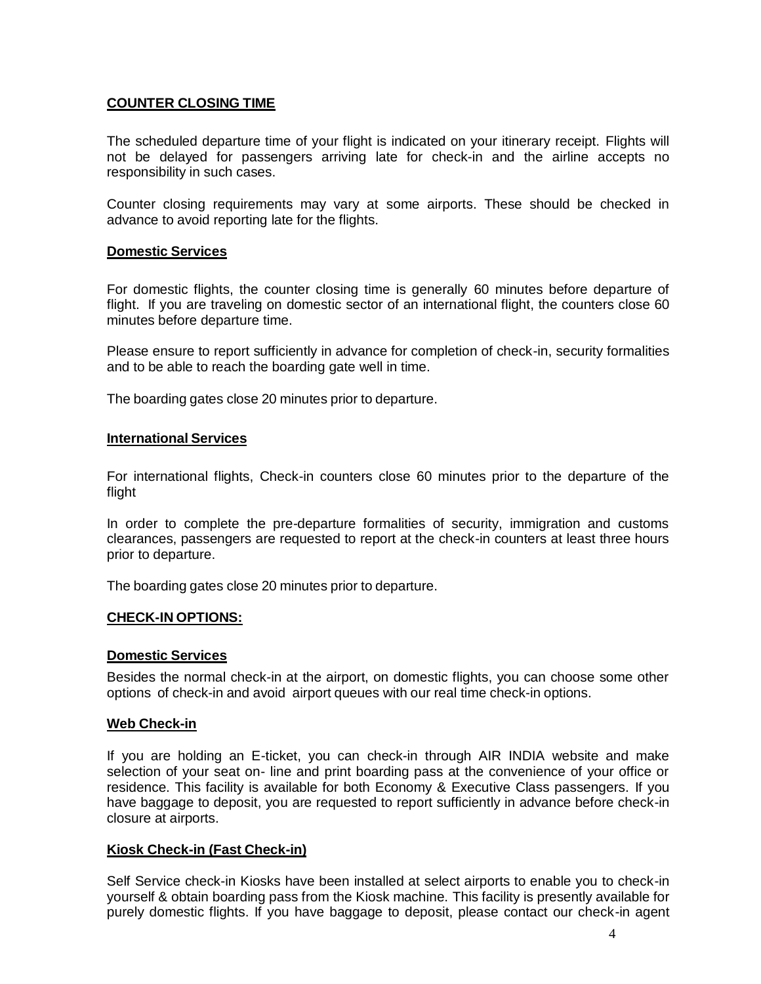## **COUNTER CLOSING TIME**

The scheduled departure time of your flight is indicated on your itinerary receipt. Flights will not be delayed for passengers arriving late for check-in and the airline accepts no responsibility in such cases.

Counter closing requirements may vary at some airports. These should be checked in advance to avoid reporting late for the flights.

#### **Domestic Services**

For domestic flights, the counter closing time is generally 60 minutes before departure of flight. If you are traveling on domestic sector of an international flight, the counters close 60 minutes before departure time.

Please ensure to report sufficiently in advance for completion of check-in, security formalities and to be able to reach the boarding gate well in time.

The boarding gates close 20 minutes prior to departure.

#### **International Services**

For international flights, Check-in counters close 60 minutes prior to the departure of the flight

In order to complete the pre-departure formalities of security, immigration and customs clearances, passengers are requested to report at the check-in counters at least three hours prior to departure.

The boarding gates close 20 minutes prior to departure.

#### **CHECK-IN OPTIONS:**

#### **Domestic Services**

Besides the normal check-in at the airport, on domestic flights, you can choose some other options of check-in and avoid airport queues with our real time check-in options.

#### **Web Check-in**

If you are holding an E-ticket, you can check-in through AIR INDIA website and make selection of your seat on- line and print boarding pass at the convenience of your office or residence. This facility is available for both Economy & Executive Class passengers. If you have baggage to deposit, you are requested to report sufficiently in advance before check-in closure at airports.

#### **Kiosk Check-in (Fast Check-in)**

Self Service check-in Kiosks have been installed at select airports to enable you to check-in yourself & obtain boarding pass from the Kiosk machine. This facility is presently available for purely domestic flights. If you have baggage to deposit, please contact our check-in agent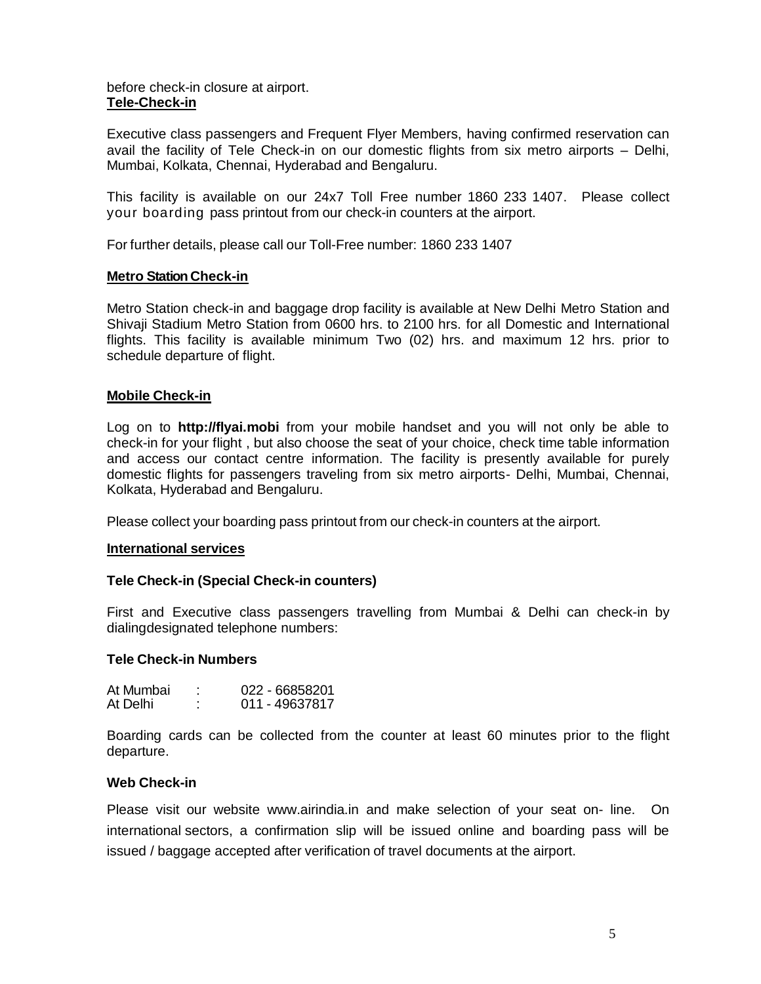### before check-in closure at airport. **Tele-Check-in**

Executive class passengers and Frequent Flyer Members, having confirmed reservation can avail the facility of Tele Check-in on our domestic flights from six metro airports – Delhi, Mumbai, Kolkata, Chennai, Hyderabad and Bengaluru.

This facility is available on our 24x7 Toll Free number 1860 233 1407. Please collect your boarding pass printout from our check-in counters at the airport.

For further details, please call our Toll-Free number: 1860 233 1407

## **Metro Station Check-in**

Metro Station check-in and baggage drop facility is available at New Delhi Metro Station and Shivaji Stadium Metro Station from 0600 hrs. to 2100 hrs. for all Domestic and International flights. This facility is available minimum Two (02) hrs. and maximum 12 hrs. prior to schedule departure of flight.

## **Mobile Check-in**

Log on to **[http://flyai.mobi](http://flyai.mobi/)** from your mobile handset and you will not only be able to check-in for your flight , but also choose the seat of your choice, check time table information and access our contact centre information. The facility is presently available for purely domestic flights for passengers traveling from six metro airports- Delhi, Mumbai, Chennai, Kolkata, Hyderabad and Bengaluru.

Please collect your boarding pass printout from our check-in counters at the airport.

#### **International services**

#### **Tele Check-in (Special Check-in counters)**

First and Executive class passengers travelling from Mumbai & Delhi can check-in by dialingdesignated telephone numbers:

#### **Tele Check-in Numbers**

| At Mumbai | 022 - 66858201 |
|-----------|----------------|
| At Delhi  | 011 - 49637817 |

Boarding cards can be collected from the counter at least 60 minutes prior to the flight departure.

#### **Web Check-in**

Please visit our website [www.airindia.in](http://www.airindia.in/) and make selection of your seat on- line. On international sectors, a confirmation slip will be issued online and boarding pass will be issued / baggage accepted after verification of travel documents at the airport.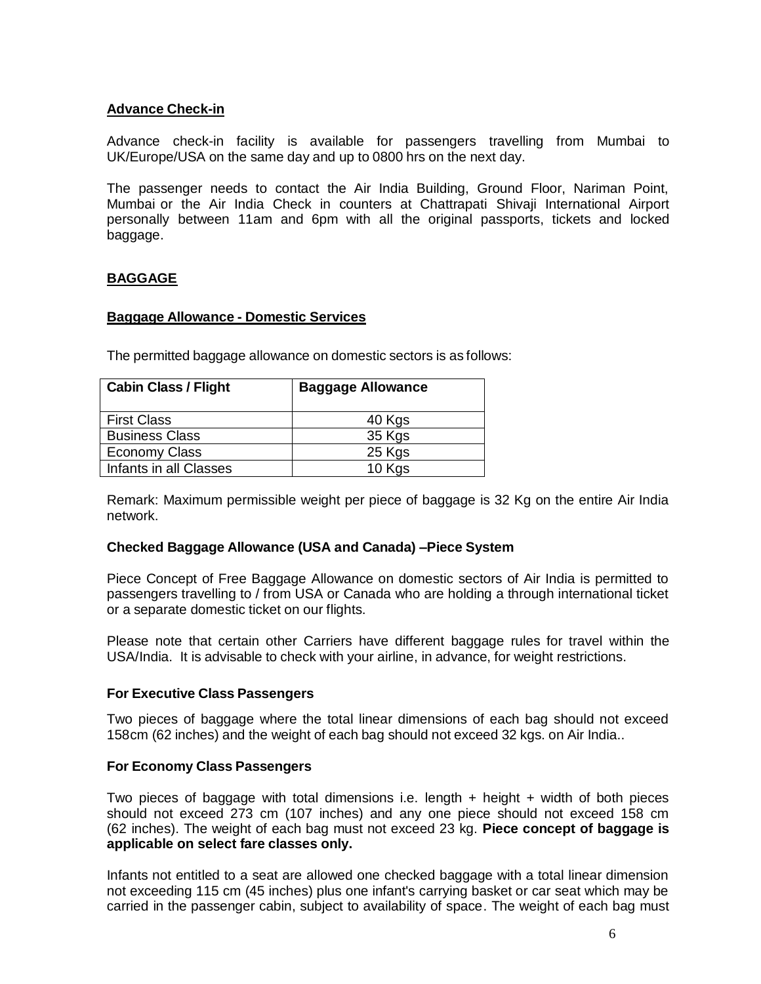# **Advance Check-in**

Advance check-in facility is available for passengers travelling from Mumbai to UK/Europe/USA on the same day and up to 0800 hrs on the next day.

The passenger needs to contact the Air India Building, Ground Floor, Nariman Point, Mumbai or the Air India Check in counters at Chattrapati Shivaji International Airport personally between 11am and 6pm with all the original passports, tickets and locked baggage.

# **BAGGAGE**

#### **Baggage Allowance - Domestic Services**

The permitted baggage allowance on domestic sectors is as follows:

| <b>Cabin Class / Flight</b> | <b>Baggage Allowance</b> |
|-----------------------------|--------------------------|
| <b>First Class</b>          | 40 Kgs                   |
| <b>Business Class</b>       | 35 Kgs                   |
| <b>Economy Class</b>        | 25 Kgs                   |
| Infants in all Classes      | 10 Kgs                   |

Remark: Maximum permissible weight per piece of baggage is 32 Kg on the entire Air India network.

#### **Checked Baggage Allowance (USA and Canada) –Piece System**

Piece Concept of Free Baggage Allowance on domestic sectors of Air India is permitted to passengers travelling to / from USA or Canada who are holding a through international ticket or a separate domestic ticket on our flights.

Please note that certain other Carriers have different baggage rules for travel within the USA/India. It is advisable to check with your airline, in advance, for weight restrictions.

#### **For Executive Class Passengers**

Two pieces of baggage where the total linear dimensions of each bag should not exceed 158cm (62 inches) and the weight of each bag should not exceed 32 kgs. on Air India..

### **For Economy Class Passengers**

Two pieces of baggage with total dimensions i.e. length  $+$  height  $+$  width of both pieces should not exceed 273 cm (107 inches) and any one piece should not exceed 158 cm (62 inches). The weight of each bag must not exceed 23 kg. **Piece concept of baggage is applicable on select fare classes only.**

Infants not entitled to a seat are allowed one checked baggage with a total linear dimension not exceeding 115 cm (45 inches) plus one infant's carrying basket or car seat which may be carried in the passenger cabin, subject to availability of space. The weight of each bag must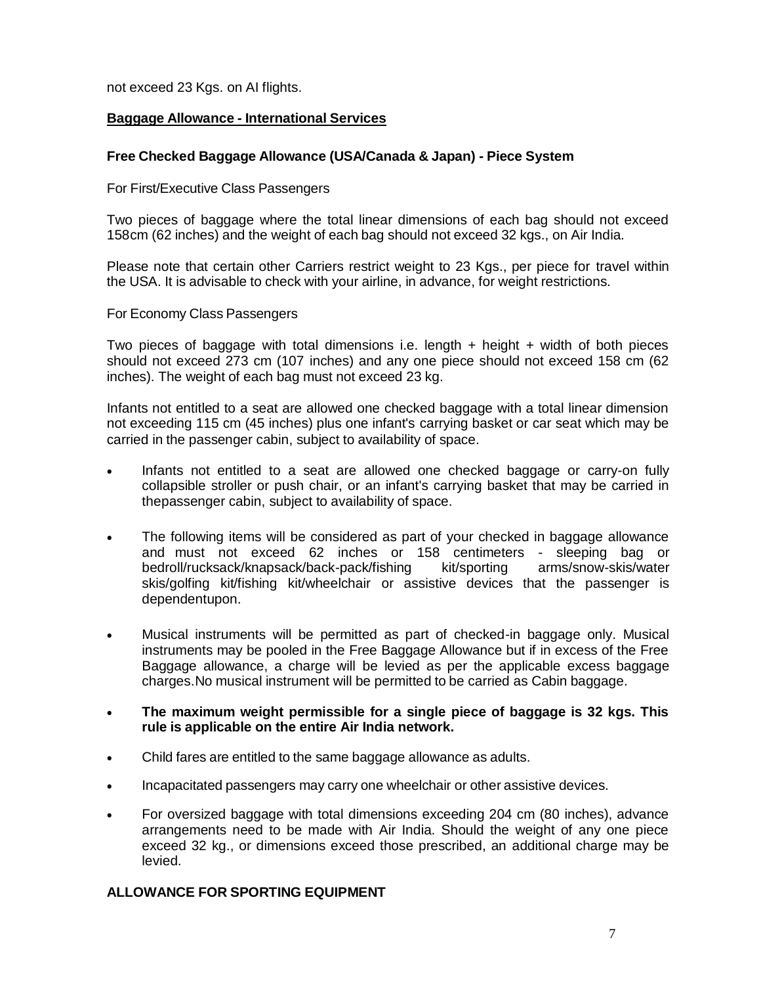not exceed 23 Kgs. on AI flights.

# **Baggage Allowance - International Services**

## **Free Checked Baggage Allowance (USA/Canada & Japan) - Piece System**

For First/Executive Class Passengers

Two pieces of baggage where the total linear dimensions of each bag should not exceed 158cm (62 inches) and the weight of each bag should not exceed 32 kgs., on Air India.

Please note that certain other Carriers restrict weight to 23 Kgs., per piece for travel within the USA. It is advisable to check with your airline, in advance, for weight restrictions.

For Economy Class Passengers

Two pieces of baggage with total dimensions i.e. length  $+$  height  $+$  width of both pieces should not exceed 273 cm (107 inches) and any one piece should not exceed 158 cm (62 inches). The weight of each bag must not exceed 23 kg.

Infants not entitled to a seat are allowed one checked baggage with a total linear dimension not exceeding 115 cm (45 inches) plus one infant's carrying basket or car seat which may be carried in the passenger cabin, subject to availability of space.

- Infants not entitled to a seat are allowed one checked baggage or carry-on fully collapsible stroller or push chair, or an infant's carrying basket that may be carried in thepassenger cabin, subject to availability of space.
- The following items will be considered as part of your checked in baggage allowance and must not exceed 62 inches or 158 centimeters - sleeping bag or bedroll/rucksack/knapsack/back-pack/fishing kit/sporting arms/snow-skis/water skis/golfing kit/fishing kit/wheelchair or assistive devices that the passenger is dependentupon.
- Musical instruments will be permitted as part of checked-in baggage only. Musical instruments may be pooled in the Free Baggage Allowance but if in excess of the Free Baggage allowance, a charge will be levied as per the applicable excess baggage charges.No musical instrument will be permitted to be carried as Cabin baggage.
- **The maximum weight permissible for a single piece of baggage is 32 kgs. This rule is applicable on the entire Air India network.**
- Child fares are entitled to the same baggage allowance as adults.
- Incapacitated passengers may carry one wheelchair or other assistive devices.
- For oversized baggage with total dimensions exceeding 204 cm (80 inches), advance arrangements need to be made with Air India. Should the weight of any one piece exceed 32 kg., or dimensions exceed those prescribed, an additional charge may be levied.

#### **ALLOWANCE FOR SPORTING EQUIPMENT**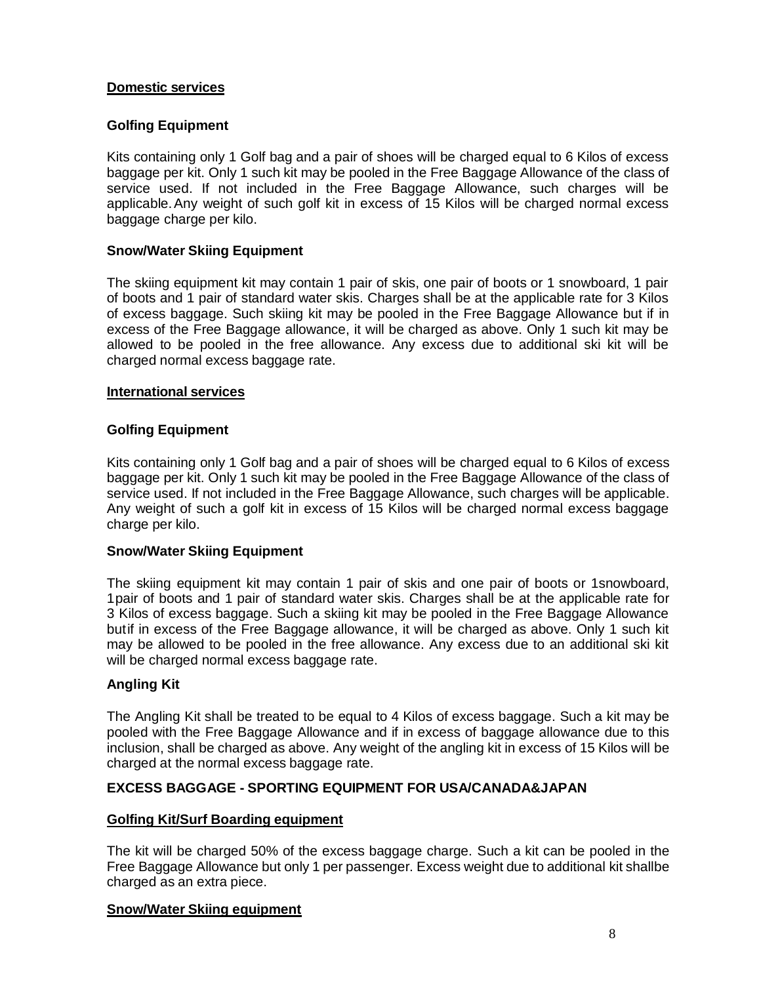# **Domestic services**

# **Golfing Equipment**

Kits containing only 1 Golf bag and a pair of shoes will be charged equal to 6 Kilos of excess baggage per kit. Only 1 such kit may be pooled in the Free Baggage Allowance of the class of service used. If not included in the Free Baggage Allowance, such charges will be applicable.Any weight of such golf kit in excess of 15 Kilos will be charged normal excess baggage charge per kilo.

## **Snow/Water Skiing Equipment**

The skiing equipment kit may contain 1 pair of skis, one pair of boots or 1 snowboard, 1 pair of boots and 1 pair of standard water skis. Charges shall be at the applicable rate for 3 Kilos of excess baggage. Such skiing kit may be pooled in the Free Baggage Allowance but if in excess of the Free Baggage allowance, it will be charged as above. Only 1 such kit may be allowed to be pooled in the free allowance. Any excess due to additional ski kit will be charged normal excess baggage rate.

#### **International services**

## **Golfing Equipment**

Kits containing only 1 Golf bag and a pair of shoes will be charged equal to 6 Kilos of excess baggage per kit. Only 1 such kit may be pooled in the Free Baggage Allowance of the class of service used. If not included in the Free Baggage Allowance, such charges will be applicable. Any weight of such a golf kit in excess of 15 Kilos will be charged normal excess baggage charge per kilo.

#### **Snow/Water Skiing Equipment**

The skiing equipment kit may contain 1 pair of skis and one pair of boots or 1snowboard, 1pair of boots and 1 pair of standard water skis. Charges shall be at the applicable rate for 3 Kilos of excess baggage. Such a skiing kit may be pooled in the Free Baggage Allowance butif in excess of the Free Baggage allowance, it will be charged as above. Only 1 such kit may be allowed to be pooled in the free allowance. Any excess due to an additional ski kit will be charged normal excess baggage rate.

# **Angling Kit**

The Angling Kit shall be treated to be equal to 4 Kilos of excess baggage. Such a kit may be pooled with the Free Baggage Allowance and if in excess of baggage allowance due to this inclusion, shall be charged as above. Any weight of the angling kit in excess of 15 Kilos will be charged at the normal excess baggage rate.

# **EXCESS BAGGAGE - SPORTING EQUIPMENT FOR USA/CANADA&JAPAN**

# **Golfing Kit/Surf Boarding equipment**

The kit will be charged 50% of the excess baggage charge. Such a kit can be pooled in the Free Baggage Allowance but only 1 per passenger. Excess weight due to additional kit shallbe charged as an extra piece.

#### **Snow/Water Skiing equipment**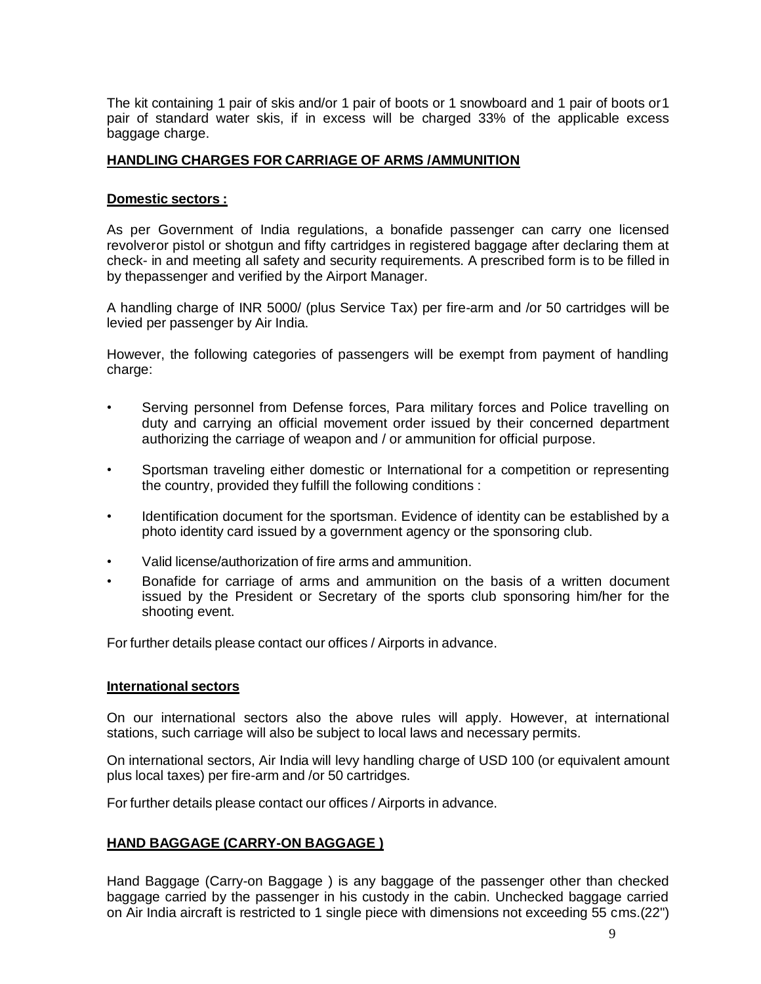The kit containing 1 pair of skis and/or 1 pair of boots or 1 snowboard and 1 pair of boots or1 pair of standard water skis, if in excess will be charged 33% of the applicable excess baggage charge.

# **HANDLING CHARGES FOR CARRIAGE OF ARMS /AMMUNITION**

## **Domestic sectors :**

As per Government of India regulations, a bonafide passenger can carry one licensed revolveror pistol or shotgun and fifty cartridges in registered baggage after declaring them at check- in and meeting all safety and security requirements. A prescribed form is to be filled in by thepassenger and verified by the Airport Manager.

A handling charge of INR 5000/ (plus Service Tax) per fire-arm and /or 50 cartridges will be levied per passenger by Air India.

However, the following categories of passengers will be exempt from payment of handling charge:

- Serving personnel from Defense forces, Para military forces and Police travelling on duty and carrying an official movement order issued by their concerned department authorizing the carriage of weapon and / or ammunition for official purpose.
- Sportsman traveling either domestic or International for a competition or representing the country, provided they fulfill the following conditions :
- Identification document for the sportsman. Evidence of identity can be established by a photo identity card issued by a government agency or the sponsoring club.
- Valid license/authorization of fire arms and ammunition.
- Bonafide for carriage of arms and ammunition on the basis of a written document issued by the President or Secretary of the sports club sponsoring him/her for the shooting event.

For further details please contact our offices / Airports in advance.

#### **International sectors**

On our international sectors also the above rules will apply. However, at international stations, such carriage will also be subject to local laws and necessary permits.

On international sectors, Air India will levy handling charge of USD 100 (or equivalent amount plus local taxes) per fire-arm and /or 50 cartridges.

For further details please contact our offices / Airports in advance.

# **HAND BAGGAGE (CARRY-ON BAGGAGE )**

Hand Baggage (Carry-on Baggage ) is any baggage of the passenger other than checked baggage carried by the passenger in his custody in the cabin. Unchecked baggage carried on Air India aircraft is restricted to 1 single piece with dimensions not exceeding 55 cms.(22")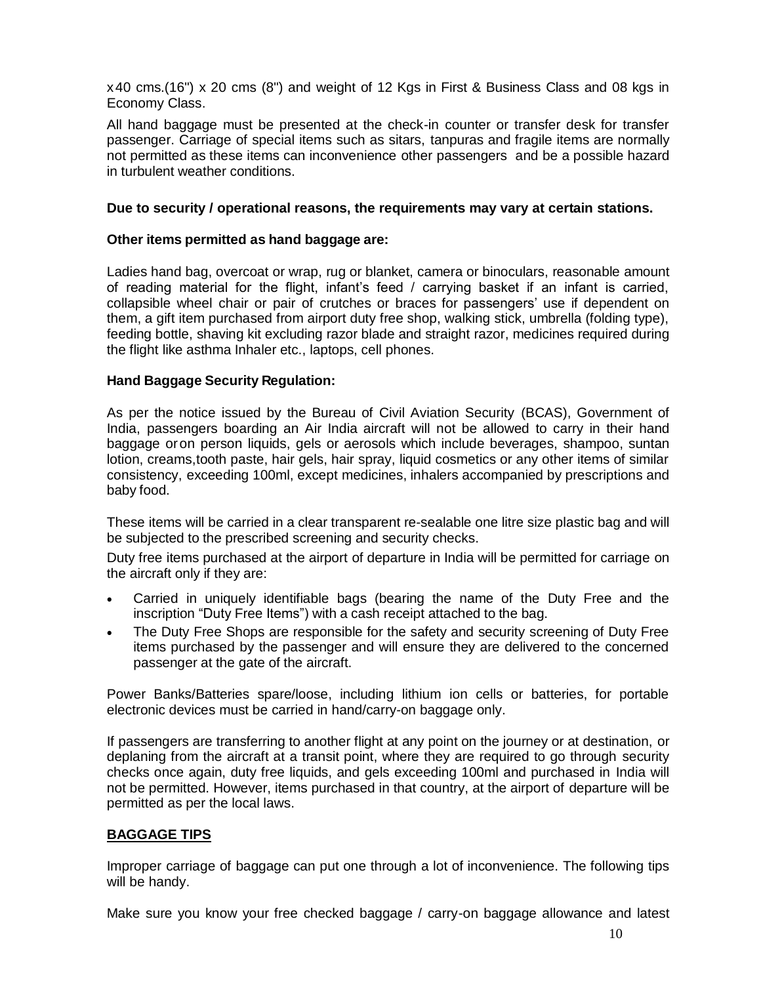x40 cms.(16") x 20 cms (8") and weight of 12 Kgs in First & Business Class and 08 kgs in Economy Class.

All hand baggage must be presented at the check-in counter or transfer desk for transfer passenger. Carriage of special items such as sitars, tanpuras and fragile items are normally not permitted as these items can inconvenience other passengers and be a possible hazard in turbulent weather conditions.

## **Due to security / operational reasons, the requirements may vary at certain stations.**

## **Other items permitted as hand baggage are:**

Ladies hand bag, overcoat or wrap, rug or blanket, camera or binoculars, reasonable amount of reading material for the flight, infant's feed / carrying basket if an infant is carried, collapsible wheel chair or pair of crutches or braces for passengers' use if dependent on them, a gift item purchased from airport duty free shop, walking stick, umbrella (folding type), feeding bottle, shaving kit excluding razor blade and straight razor, medicines required during the flight like asthma Inhaler etc., laptops, cell phones.

## **Hand Baggage Security Regulation:**

As per the notice issued by the Bureau of Civil Aviation Security (BCAS), Government of India, passengers boarding an Air India aircraft will not be allowed to carry in their hand baggage oron person liquids, gels or aerosols which include beverages, shampoo, suntan lotion, creams,tooth paste, hair gels, hair spray, liquid cosmetics or any other items of similar consistency, exceeding 100ml, except medicines, inhalers accompanied by prescriptions and baby food.

These items will be carried in a clear transparent re-sealable one litre size plastic bag and will be subjected to the prescribed screening and security checks.

Duty free items purchased at the airport of departure in India will be permitted for carriage on the aircraft only if they are:

- Carried in uniquely identifiable bags (bearing the name of the Duty Free and the inscription "Duty Free Items") with a cash receipt attached to the bag.
- The Duty Free Shops are responsible for the safety and security screening of Duty Free items purchased by the passenger and will ensure they are delivered to the concerned passenger at the gate of the aircraft.

Power Banks/Batteries spare/loose, including lithium ion cells or batteries, for portable electronic devices must be carried in hand/carry-on baggage only.

If passengers are transferring to another flight at any point on the journey or at destination, or deplaning from the aircraft at a transit point, where they are required to go through security checks once again, duty free liquids, and gels exceeding 100ml and purchased in India will not be permitted. However, items purchased in that country, at the airport of departure will be permitted as per the local laws.

# **BAGGAGE TIPS**

Improper carriage of baggage can put one through a lot of inconvenience. The following tips will be handy.

Make sure you know your free checked baggage / carry-on baggage allowance and latest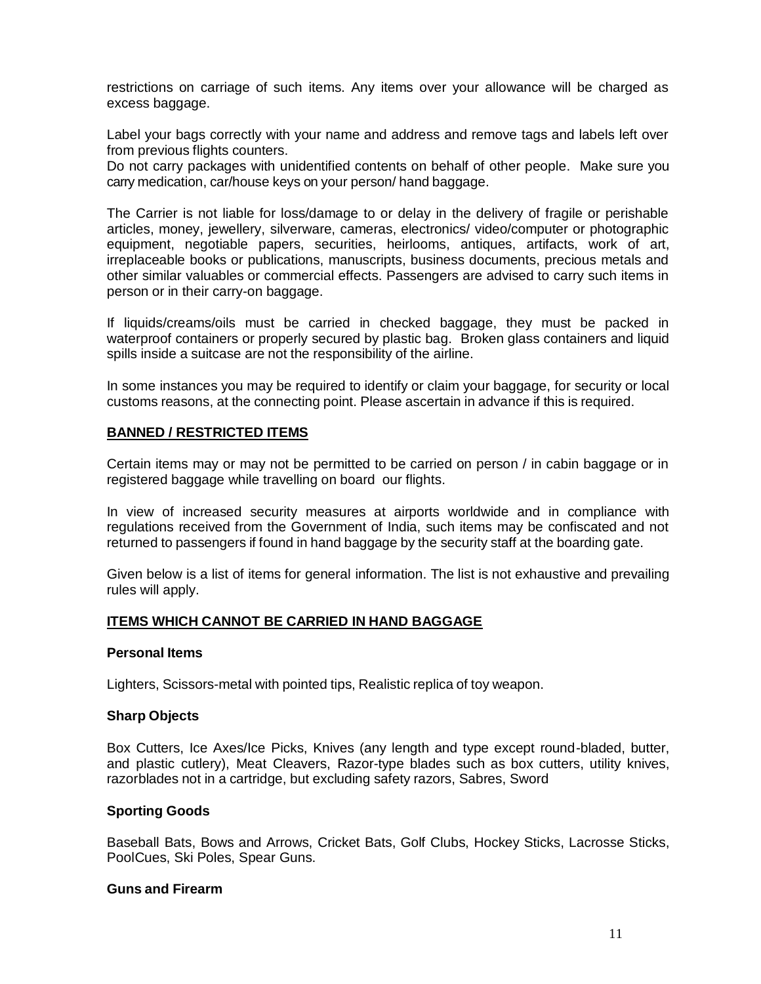restrictions on carriage of such items. Any items over your allowance will be charged as excess baggage.

Label your bags correctly with your name and address and remove tags and labels left over from previous flights counters.

Do not carry packages with unidentified contents on behalf of other people. Make sure you carry medication, car/house keys on your person/ hand baggage.

The Carrier is not liable for loss/damage to or delay in the delivery of fragile or perishable articles, money, jewellery, silverware, cameras, electronics/ video/computer or photographic equipment, negotiable papers, securities, heirlooms, antiques, artifacts, work of art, irreplaceable books or publications, manuscripts, business documents, precious metals and other similar valuables or commercial effects. Passengers are advised to carry such items in person or in their carry-on baggage.

If liquids/creams/oils must be carried in checked baggage, they must be packed in waterproof containers or properly secured by plastic bag. Broken glass containers and liquid spills inside a suitcase are not the responsibility of the airline.

In some instances you may be required to identify or claim your baggage, for security or local customs reasons, at the connecting point. Please ascertain in advance if this is required.

#### **BANNED / RESTRICTED ITEMS**

Certain items may or may not be permitted to be carried on person / in cabin baggage or in registered baggage while travelling on board our flights.

In view of increased security measures at airports worldwide and in compliance with regulations received from the Government of India, such items may be confiscated and not returned to passengers if found in hand baggage by the security staff at the boarding gate.

Given below is a list of items for general information. The list is not exhaustive and prevailing rules will apply.

#### **ITEMS WHICH CANNOT BE CARRIED IN HAND BAGGAGE**

#### **Personal Items**

Lighters, Scissors-metal with pointed tips, Realistic replica of toy weapon.

#### **Sharp Objects**

Box Cutters, Ice Axes/Ice Picks, Knives (any length and type except round-bladed, butter, and plastic cutlery), Meat Cleavers, Razor-type blades such as box cutters, utility knives, razorblades not in a cartridge, but excluding safety razors, Sabres, Sword

#### **Sporting Goods**

Baseball Bats, Bows and Arrows, Cricket Bats, Golf Clubs, Hockey Sticks, Lacrosse Sticks, PoolCues, Ski Poles, Spear Guns.

#### **Guns and Firearm**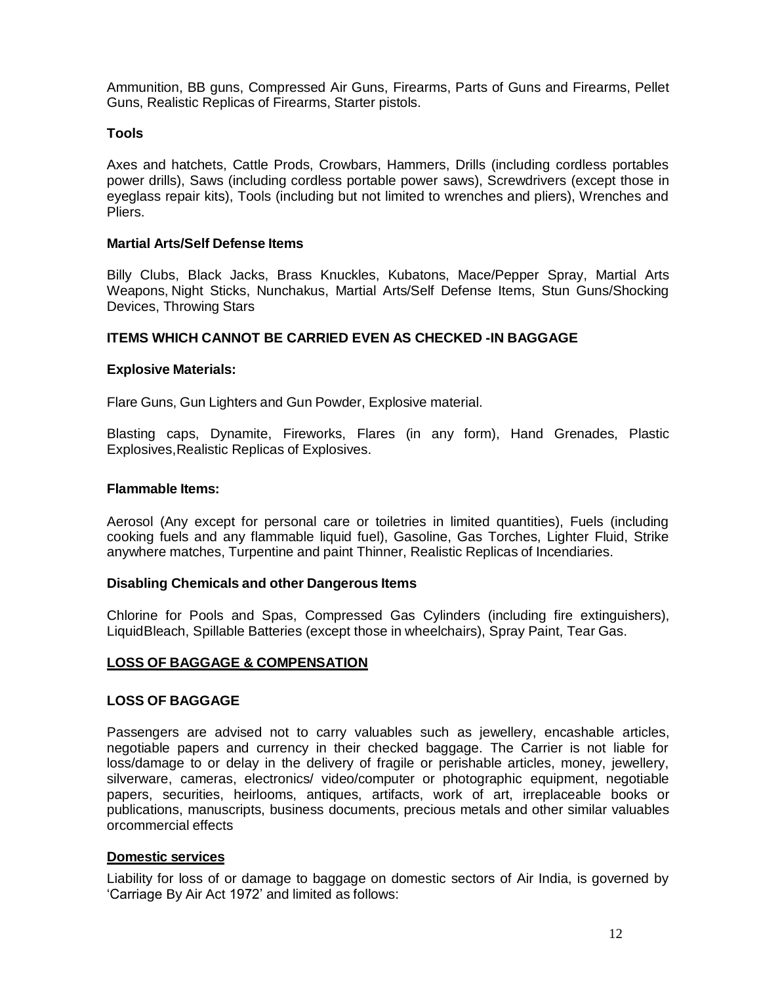Ammunition, BB guns, Compressed Air Guns, Firearms, Parts of Guns and Firearms, Pellet Guns, Realistic Replicas of Firearms, Starter pistols.

#### **Tools**

Axes and hatchets, Cattle Prods, Crowbars, Hammers, Drills (including cordless portables power drills), Saws (including cordless portable power saws), Screwdrivers (except those in eyeglass repair kits), Tools (including but not limited to wrenches and pliers), Wrenches and Pliers.

#### **Martial Arts/Self Defense Items**

Billy Clubs, Black Jacks, Brass Knuckles, Kubatons, Mace/Pepper Spray, Martial Arts Weapons, Night Sticks, Nunchakus, Martial Arts/Self Defense Items, Stun Guns/Shocking Devices, Throwing Stars

#### **ITEMS WHICH CANNOT BE CARRIED EVEN AS CHECKED -IN BAGGAGE**

#### **Explosive Materials:**

Flare Guns, Gun Lighters and Gun Powder, Explosive material.

Blasting caps, Dynamite, Fireworks, Flares (in any form), Hand Grenades, Plastic Explosives,Realistic Replicas of Explosives.

#### **Flammable Items:**

Aerosol (Any except for personal care or toiletries in limited quantities), Fuels (including cooking fuels and any flammable liquid fuel), Gasoline, Gas Torches, Lighter Fluid, Strike anywhere matches, Turpentine and paint Thinner, Realistic Replicas of Incendiaries.

#### **Disabling Chemicals and other Dangerous Items**

Chlorine for Pools and Spas, Compressed Gas Cylinders (including fire extinguishers), LiquidBleach, Spillable Batteries (except those in wheelchairs), Spray Paint, Tear Gas.

#### **LOSS OF BAGGAGE & COMPENSATION**

#### **LOSS OF BAGGAGE**

Passengers are advised not to carry valuables such as jewellery, encashable articles, negotiable papers and currency in their checked baggage. The Carrier is not liable for loss/damage to or delay in the delivery of fragile or perishable articles, money, jewellery, silverware, cameras, electronics/ video/computer or photographic equipment, negotiable papers, securities, heirlooms, antiques, artifacts, work of art, irreplaceable books or publications, manuscripts, business documents, precious metals and other similar valuables orcommercial effects

#### **Domestic services**

Liability for loss of or damage to baggage on domestic sectors of Air India, is governed by 'Carriage By Air Act 1972' and limited as follows: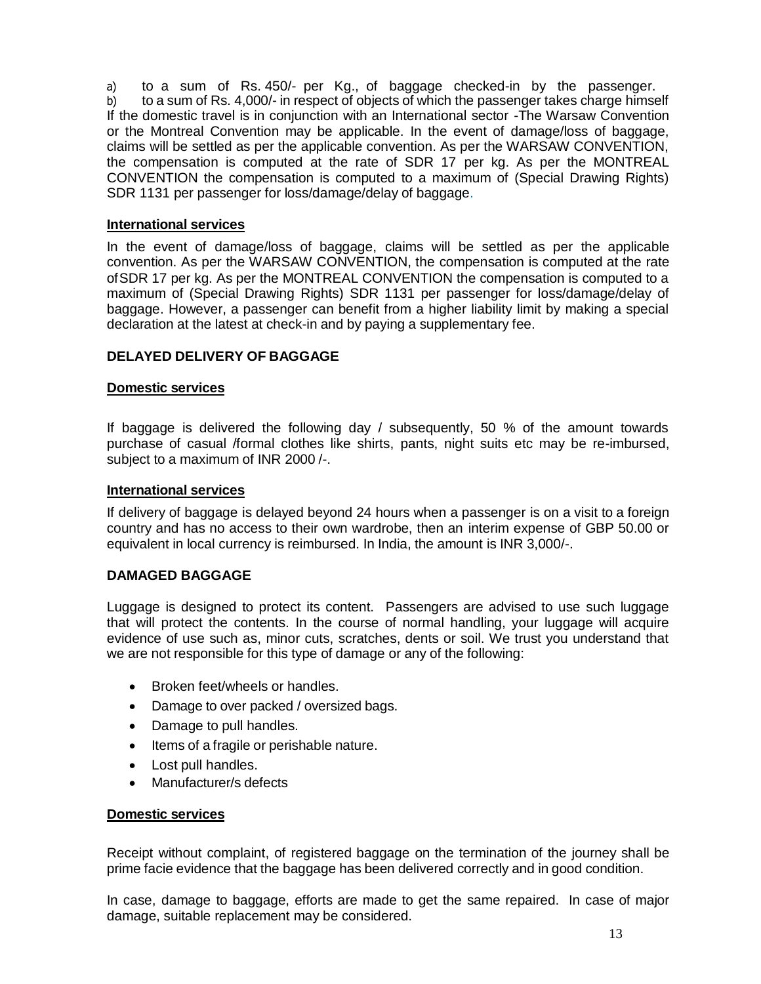a) to a sum of Rs. 450/- per Kg., of baggage checked-in by the passenger. b) to a sum of Rs. 4,000/- in respect of objects of which the passenger takes charge himself If the domestic travel is in conjunction with an International sector -The Warsaw Convention or the Montreal Convention may be applicable. In the event of damage/loss of baggage, claims will be settled as per the applicable convention. As per the WARSAW CONVENTION, the compensation is computed at the rate of SDR 17 per kg. As per the MONTREAL CONVENTION the compensation is computed to a maximum of (Special Drawing Rights) SDR 1131 per passenger for loss/damage/delay of baggage.

# **International services**

In the event of damage/loss of baggage, claims will be settled as per the applicable convention. As per the WARSAW CONVENTION, the compensation is computed at the rate of SDR 17 per kg. As per the MONTREAL CONVENTION the compensation is computed to a maximum of (Special Drawing Rights) SDR 1131 per passenger for loss/damage/delay of baggage. However, a passenger can benefit from a higher liability limit by making a special declaration at the latest at check-in and by paying a supplementary fee.

# **DELAYED DELIVERY OF BAGGAGE**

# **Domestic services**

If baggage is delivered the following day / subsequently, 50 % of the amount towards purchase of casual /formal clothes like shirts, pants, night suits etc may be re-imbursed, subject to a maximum of INR 2000 /-.

# **International services**

If delivery of baggage is delayed beyond 24 hours when a passenger is on a visit to a foreign country and has no access to their own wardrobe, then an interim expense of GBP 50.00 or equivalent in local currency is reimbursed. In India, the amount is INR 3,000/-.

# **DAMAGED BAGGAGE**

Luggage is designed to protect its content. Passengers are advised to use such luggage that will protect the contents. In the course of normal handling, your luggage will acquire evidence of use such as, minor cuts, scratches, dents or soil. We trust you understand that we are not responsible for this type of damage or any of the following:

- Broken feet/wheels or handles.
- Damage to over packed / oversized bags.
- Damage to pull handles.
- Items of a fragile or perishable nature.
- Lost pull handles.
- Manufacturer/s defects

# **Domestic services**

Receipt without complaint, of registered baggage on the termination of the journey shall be prime facie evidence that the baggage has been delivered correctly and in good condition.

In case, damage to baggage, efforts are made to get the same repaired. In case of major damage, suitable replacement may be considered.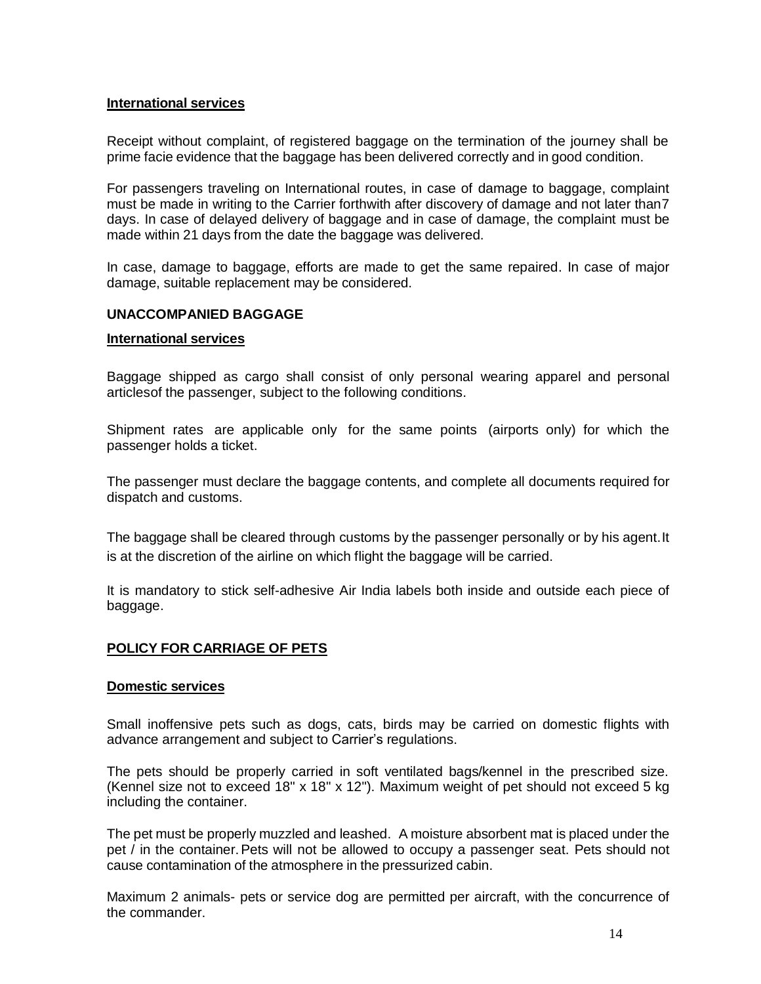### **International services**

Receipt without complaint, of registered baggage on the termination of the journey shall be prime facie evidence that the baggage has been delivered correctly and in good condition.

For passengers traveling on International routes, in case of damage to baggage, complaint must be made in writing to the Carrier forthwith after discovery of damage and not later than7 days. In case of delayed delivery of baggage and in case of damage, the complaint must be made within 21 days from the date the baggage was delivered.

In case, damage to baggage, efforts are made to get the same repaired. In case of major damage, suitable replacement may be considered.

# **UNACCOMPANIED BAGGAGE**

#### **International services**

Baggage shipped as cargo shall consist of only personal wearing apparel and personal articlesof the passenger, subject to the following conditions.

Shipment rates are applicable only for the same points (airports only) for which the passenger holds a ticket.

The passenger must declare the baggage contents, and complete all documents required for dispatch and customs.

The baggage shall be cleared through customs by the passenger personally or by his agent.It is at the discretion of the airline on which flight the baggage will be carried.

It is mandatory to stick self-adhesive Air India labels both inside and outside each piece of baggage.

# **POLICY FOR CARRIAGE OF PETS**

#### **Domestic services**

Small inoffensive pets such as dogs, cats, birds may be carried on domestic flights with advance arrangement and subject to Carrier's regulations.

The pets should be properly carried in soft ventilated bags/kennel in the prescribed size. (Kennel size not to exceed 18" x 18" x 12"). Maximum weight of pet should not exceed 5 kg including the container.

The pet must be properly muzzled and leashed. A moisture absorbent mat is placed under the pet / in the container. Pets will not be allowed to occupy a passenger seat. Pets should not cause contamination of the atmosphere in the pressurized cabin.

Maximum 2 animals- pets or service dog are permitted per aircraft, with the concurrence of the commander.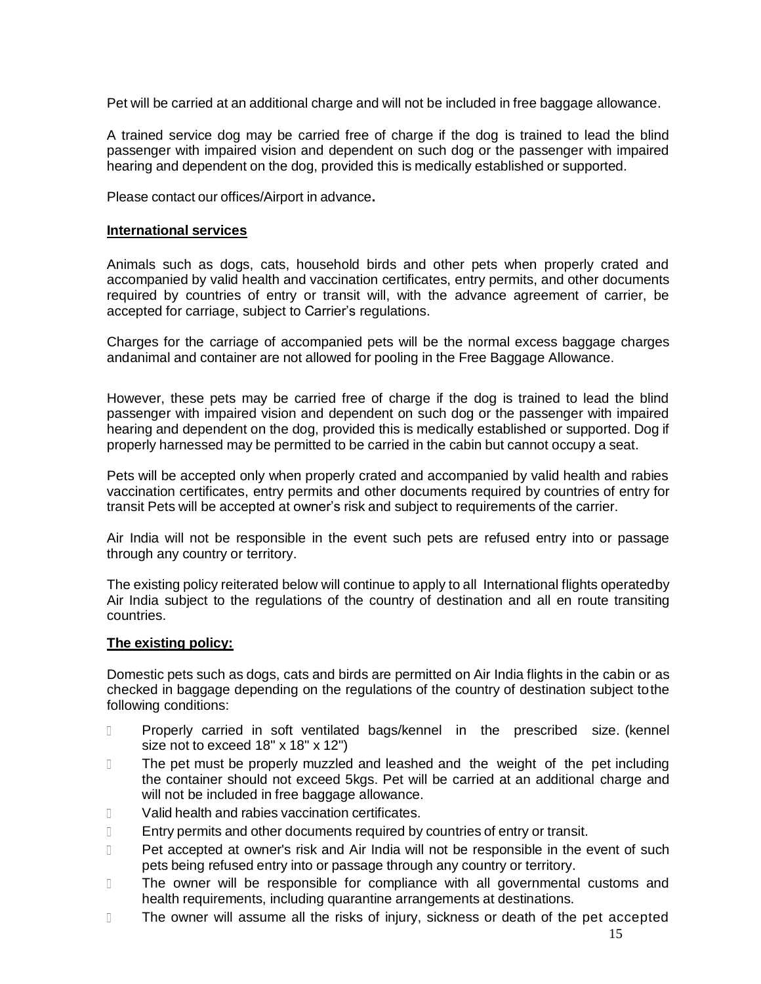Pet will be carried at an additional charge and will not be included in free baggage allowance.

A trained service dog may be carried free of charge if the dog is trained to lead the blind passenger with impaired vision and dependent on such dog or the passenger with impaired hearing and dependent on the dog, provided this is medically established or supported.

Please contact our offices/Airport in advance**.**

#### **International services**

Animals such as dogs, cats, household birds and other pets when properly crated and accompanied by valid health and vaccination certificates, entry permits, and other documents required by countries of entry or transit will, with the advance agreement of carrier, be accepted for carriage, subject to Carrier's regulations.

Charges for the carriage of accompanied pets will be the normal excess baggage charges andanimal and container are not allowed for pooling in the Free Baggage Allowance.

However, these pets may be carried free of charge if the dog is trained to lead the blind passenger with impaired vision and dependent on such dog or the passenger with impaired hearing and dependent on the dog, provided this is medically established or supported. Dog if properly harnessed may be permitted to be carried in the cabin but cannot occupy a seat.

Pets will be accepted only when properly crated and accompanied by valid health and rabies vaccination certificates, entry permits and other documents required by countries of entry for transit Pets will be accepted at owner's risk and subject to requirements of the carrier.

Air India will not be responsible in the event such pets are refused entry into or passage through any country or territory.

The existing policy reiterated below will continue to apply to all International flights operatedby Air India subject to the regulations of the country of destination and all en route transiting countries.

#### **The existing policy:**

Domestic pets such as dogs, cats and birds are permitted on Air India flights in the cabin or as checked in baggage depending on the regulations of the country of destination subject tothe following conditions:

- $\Box$ Properly carried in soft ventilated bags/kennel in the prescribed size. (kennel size not to exceed 18" x 18" x 12")
- The pet must be properly muzzled and leashed and the weight of the pet including  $\Box$ the container should not exceed 5kgs. Pet will be carried at an additional charge and will not be included in free baggage allowance.
- $\Box$ Valid health and rabies vaccination certificates.
- $\Box$ Entry permits and other documents required by countries of entry or transit.
- Pet accepted at owner's risk and Air India will not be responsible in the event of such  $\Box$ pets being refused entry into or passage through any country or territory.
- The owner will be responsible for compliance with all governmental customs and  $\Box$ health requirements, including quarantine arrangements at destinations.
- The owner will assume all the risks of injury, sickness or death of the pet accepted  $\Box$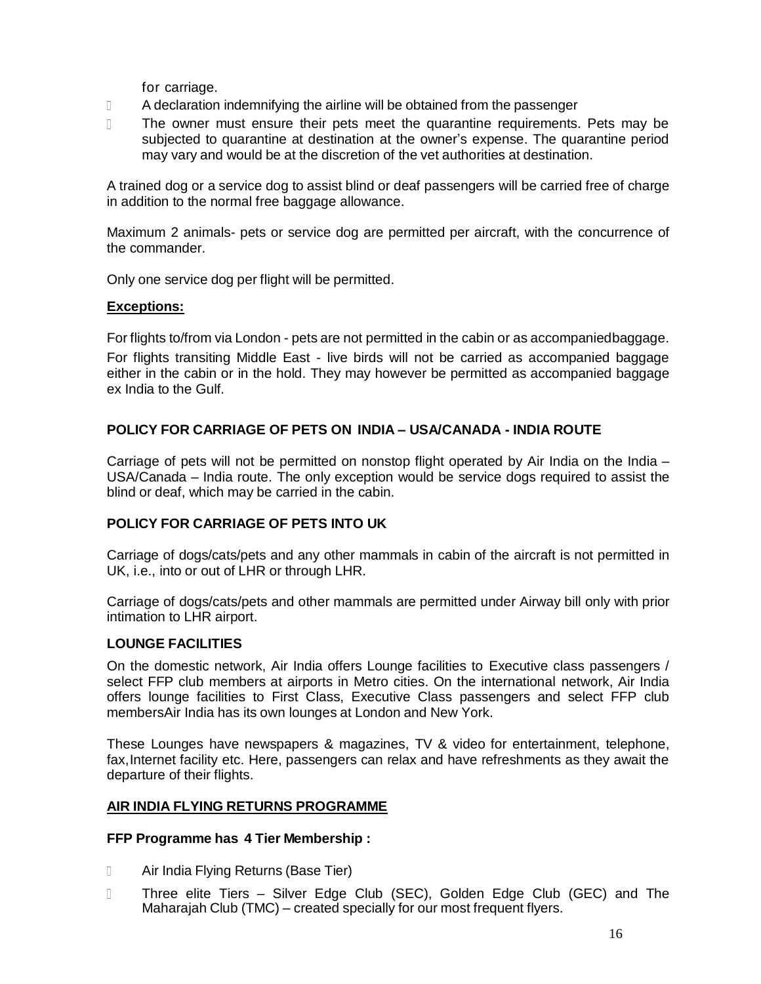for carriage.

- $\Box$ A declaration indemnifying the airline will be obtained from the passenger
- $\overline{\mathbb{R}}$ The owner must ensure their pets meet the quarantine requirements. Pets may be subjected to quarantine at destination at the owner's expense. The quarantine period may vary and would be at the discretion of the vet authorities at destination.

A trained dog or a service dog to assist blind or deaf passengers will be carried free of charge in addition to the normal free baggage allowance.

Maximum 2 animals- pets or service dog are permitted per aircraft, with the concurrence of the commander.

Only one service dog per flight will be permitted.

## **Exceptions:**

For flights to/from via London - pets are not permitted in the cabin or as accompaniedbaggage.

For flights transiting Middle East - live birds will not be carried as accompanied baggage either in the cabin or in the hold. They may however be permitted as accompanied baggage ex India to the Gulf.

# **POLICY FOR CARRIAGE OF PETS ON INDIA – USA/CANADA - INDIA ROUTE**

Carriage of pets will not be permitted on nonstop flight operated by Air India on the India – USA/Canada – India route. The only exception would be service dogs required to assist the blind or deaf, which may be carried in the cabin.

# **POLICY FOR CARRIAGE OF PETS INTO UK**

Carriage of dogs/cats/pets and any other mammals in cabin of the aircraft is not permitted in UK, i.e., into or out of LHR or through LHR.

Carriage of dogs/cats/pets and other mammals are permitted under Airway bill only with prior intimation to LHR airport.

# **LOUNGE FACILITIES**

On the domestic network, Air India offers Lounge facilities to Executive class passengers / select FFP club members at airports in Metro cities. On the international network, Air India offers lounge facilities to First Class, Executive Class passengers and select FFP club membersAir India has its own lounges at London and New York.

These Lounges have newspapers & magazines, TV & video for entertainment, telephone, fax,Internet facility etc. Here, passengers can relax and have refreshments as they await the departure of their flights.

# **AIR INDIA FLYING RETURNS PROGRAMME**

#### **FFP Programme has 4 Tier Membership :**

- $\Box$ Air India Flying Returns (Base Tier)
- $\Box$ Three elite Tiers – Silver Edge Club (SEC), Golden Edge Club (GEC) and The Maharajah Club (TMC) – created specially for our most frequent flyers.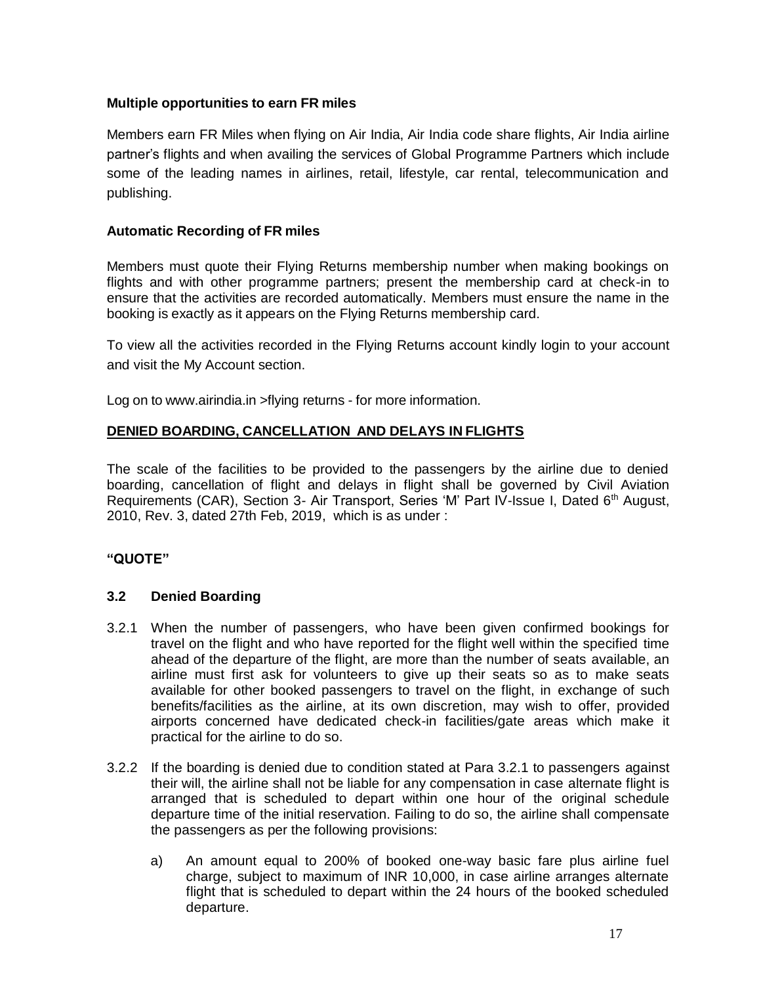# **Multiple opportunities to earn FR miles**

Members earn FR Miles when flying on Air India, Air India code share flights, Air India airline partner's flights and when availing the services of Global Programme Partners which include some of the leading names in airlines, retail, lifestyle, car rental, telecommunication and publishing.

## **Automatic Recording of FR miles**

Members must quote their Flying Returns membership number when making bookings on flights and with other programme partners; present the membership card at check-in to ensure that the activities are recorded automatically. Members must ensure the name in the booking is exactly as it appears on the Flying Returns membership card.

To view all the activities recorded in the Flying Returns account kindly login to your account and visit the My Account section.

Log on to [www.airindia.in](http://www.airindia.in/) >flying returns - for more information.

## **DENIED BOARDING, CANCELLATION AND DELAYS IN FLIGHTS**

The scale of the facilities to be provided to the passengers by the airline due to denied boarding, cancellation of flight and delays in flight shall be governed by Civil Aviation Requirements (CAR), Section 3- Air Transport, Series 'M' Part IV-Issue I, Dated 6<sup>th</sup> August, 2010, Rev. 3, dated 27th Feb, 2019, which is as under :

# **"QUOTE"**

# **3.2 Denied Boarding**

- 3.2.1 When the number of passengers, who have been given confirmed bookings for travel on the flight and who have reported for the flight well within the specified time ahead of the departure of the flight, are more than the number of seats available, an airline must first ask for volunteers to give up their seats so as to make seats available for other booked passengers to travel on the flight, in exchange of such benefits/facilities as the airline, at its own discretion, may wish to offer, provided airports concerned have dedicated check-in facilities/gate areas which make it practical for the airline to do so.
- 3.2.2 If the boarding is denied due to condition stated at Para 3.2.1 to passengers against their will, the airline shall not be liable for any compensation in case alternate flight is arranged that is scheduled to depart within one hour of the original schedule departure time of the initial reservation. Failing to do so, the airline shall compensate the passengers as per the following provisions:
	- a) An amount equal to 200% of booked one-way basic fare plus airline fuel charge, subject to maximum of INR 10,000, in case airline arranges alternate flight that is scheduled to depart within the 24 hours of the booked scheduled departure.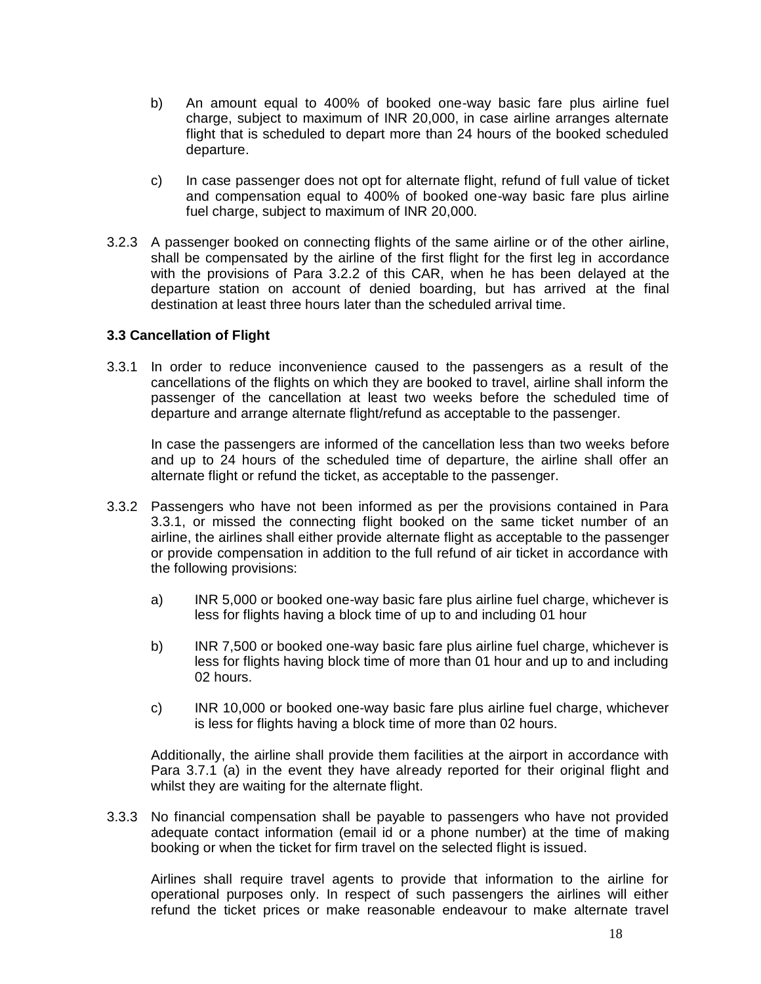- b) An amount equal to 400% of booked one-way basic fare plus airline fuel charge, subject to maximum of INR 20,000, in case airline arranges alternate flight that is scheduled to depart more than 24 hours of the booked scheduled departure.
- c) In case passenger does not opt for alternate flight, refund of full value of ticket and compensation equal to 400% of booked one-way basic fare plus airline fuel charge, subject to maximum of INR 20,000.
- 3.2.3 A passenger booked on connecting flights of the same airline or of the other airline, shall be compensated by the airline of the first flight for the first leg in accordance with the provisions of Para 3.2.2 of this CAR, when he has been delayed at the departure station on account of denied boarding, but has arrived at the final destination at least three hours later than the scheduled arrival time.

## **3.3 Cancellation of Flight**

3.3.1 In order to reduce inconvenience caused to the passengers as a result of the cancellations of the flights on which they are booked to travel, airline shall inform the passenger of the cancellation at least two weeks before the scheduled time of departure and arrange alternate flight/refund as acceptable to the passenger.

In case the passengers are informed of the cancellation less than two weeks before and up to 24 hours of the scheduled time of departure, the airline shall offer an alternate flight or refund the ticket, as acceptable to the passenger.

- 3.3.2 Passengers who have not been informed as per the provisions contained in Para 3.3.1, or missed the connecting flight booked on the same ticket number of an airline, the airlines shall either provide alternate flight as acceptable to the passenger or provide compensation in addition to the full refund of air ticket in accordance with the following provisions:
	- a) INR 5,000 or booked one-way basic fare plus airline fuel charge, whichever is less for flights having a block time of up to and including 01 hour
	- b) INR 7,500 or booked one-way basic fare plus airline fuel charge, whichever is less for flights having block time of more than 01 hour and up to and including 02 hours.
	- c) INR 10,000 or booked one-way basic fare plus airline fuel charge, whichever is less for flights having a block time of more than 02 hours.

Additionally, the airline shall provide them facilities at the airport in accordance with Para 3.7.1 (a) in the event they have already reported for their original flight and whilst they are waiting for the alternate flight.

3.3.3 No financial compensation shall be payable to passengers who have not provided adequate contact information (email id or a phone number) at the time of making booking or when the ticket for firm travel on the selected flight is issued.

Airlines shall require travel agents to provide that information to the airline for operational purposes only. In respect of such passengers the airlines will either refund the ticket prices or make reasonable endeavour to make alternate travel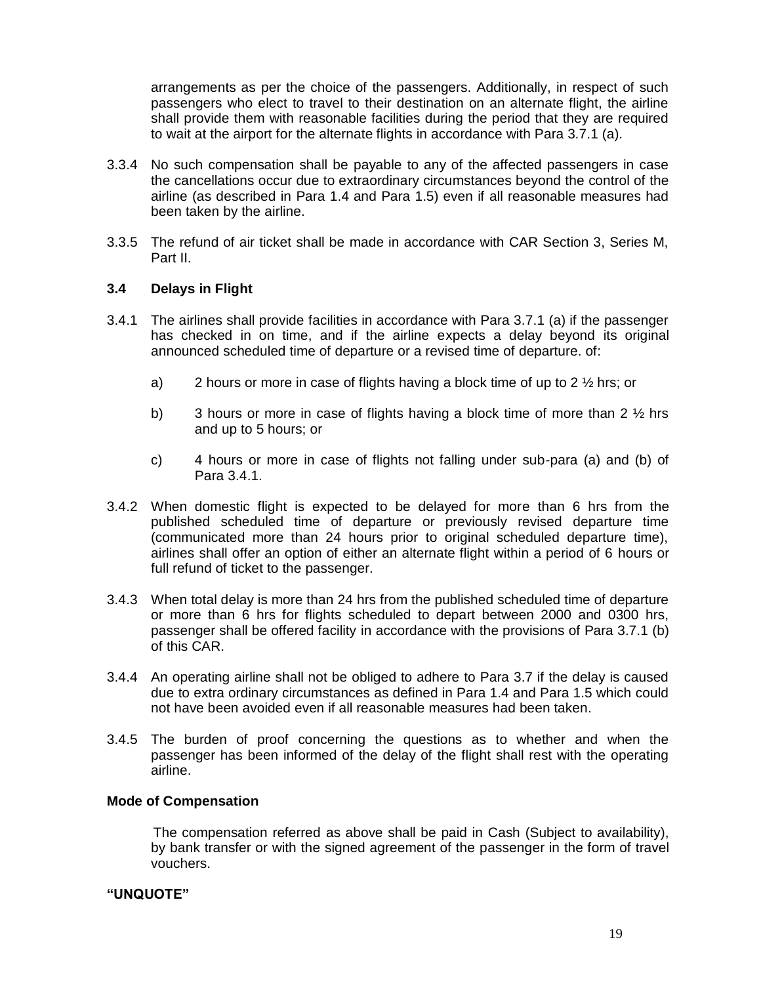arrangements as per the choice of the passengers. Additionally, in respect of such passengers who elect to travel to their destination on an alternate flight, the airline shall provide them with reasonable facilities during the period that they are required to wait at the airport for the alternate flights in accordance with Para 3.7.1 (a).

- 3.3.4 No such compensation shall be payable to any of the affected passengers in case the cancellations occur due to extraordinary circumstances beyond the control of the airline (as described in Para 1.4 and Para 1.5) even if all reasonable measures had been taken by the airline.
- 3.3.5 The refund of air ticket shall be made in accordance with CAR Section 3, Series M, Part II.

## **3.4 Delays in Flight**

- 3.4.1 The airlines shall provide facilities in accordance with Para 3.7.1 (a) if the passenger has checked in on time, and if the airline expects a delay beyond its original announced scheduled time of departure or a revised time of departure. of:
	- a) 2 hours or more in case of flights having a block time of up to 2 ½ hrs; or
	- b) 3 hours or more in case of flights having a block time of more than 2  $\frac{1}{2}$  hrs and up to 5 hours; or
	- c) 4 hours or more in case of flights not falling under sub-para (a) and (b) of Para 3.4.1.
- 3.4.2 When domestic flight is expected to be delayed for more than 6 hrs from the published scheduled time of departure or previously revised departure time (communicated more than 24 hours prior to original scheduled departure time), airlines shall offer an option of either an alternate flight within a period of 6 hours or full refund of ticket to the passenger.
- 3.4.3 When total delay is more than 24 hrs from the published scheduled time of departure or more than 6 hrs for flights scheduled to depart between 2000 and 0300 hrs, passenger shall be offered facility in accordance with the provisions of Para 3.7.1 (b) of this CAR.
- 3.4.4 An operating airline shall not be obliged to adhere to Para 3.7 if the delay is caused due to extra ordinary circumstances as defined in Para 1.4 and Para 1.5 which could not have been avoided even if all reasonable measures had been taken.
- 3.4.5 The burden of proof concerning the questions as to whether and when the passenger has been informed of the delay of the flight shall rest with the operating airline.

#### **Mode of Compensation**

 The compensation referred as above shall be paid in Cash (Subject to availability), by bank transfer or with the signed agreement of the passenger in the form of travel vouchers.

#### **"UNQUOTE"**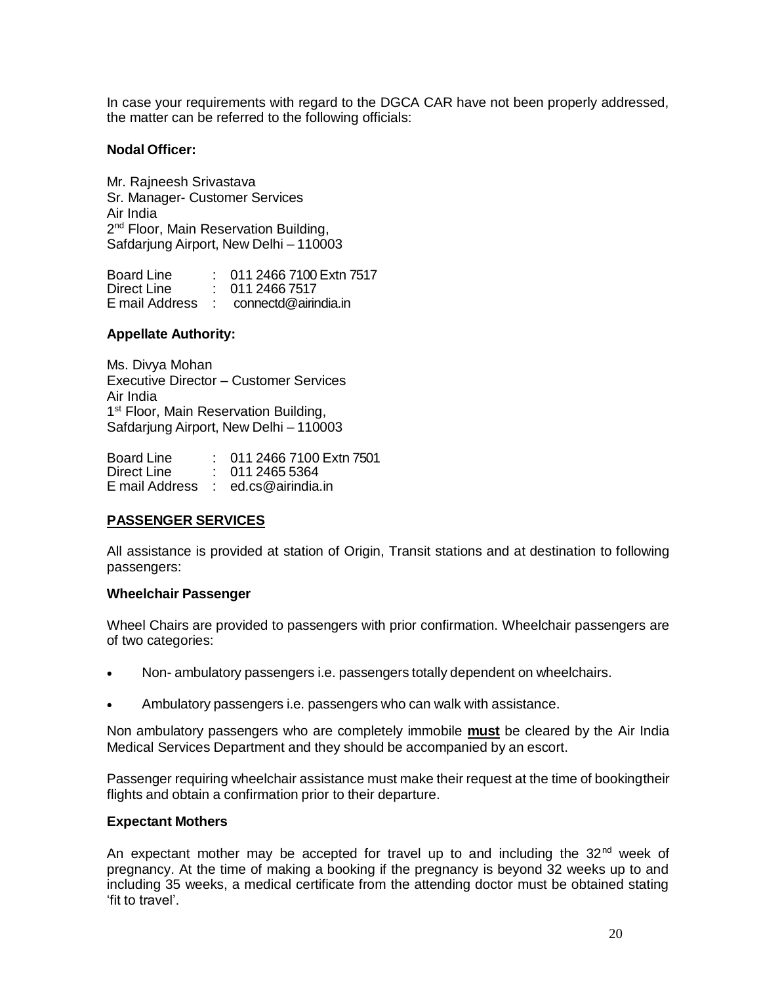In case your requirements with regard to the DGCA CAR have not been properly addressed, the matter can be referred to the following officials:

### **Nodal Officer:**

Mr. Rajneesh Srivastava Sr. Manager- Customer Services Air India 2<sup>nd</sup> Floor, Main Reservation Building, Safdarjung Airport, New Delhi – 110003

Board Line : 011 2466 7100Extn 7517 Direct Line : 011 2466 7517 E mail Address : connectd@airindia.in

## **Appellate Authority:**

Ms. Divya Mohan Executive Director – Customer Services Air India 1<sup>st</sup> Floor, Main Reservation Building, Safdarjung Airport, New Delhi – 110003

Board Line : 011 2466 7100 Extn 7501<br>Direct Line : 011 2465 5364  $\therefore$  011 2465 5364 E mail Address : ed.cs@airindia.in

# **PASSENGER SERVICES**

All assistance is provided at station of Origin, Transit stations and at destination to following passengers:

#### **Wheelchair Passenger**

Wheel Chairs are provided to passengers with prior confirmation. Wheelchair passengers are of two categories:

- Non- ambulatory passengers i.e. passengers totally dependent on wheelchairs.
- Ambulatory passengers i.e. passengers who can walk with assistance.

Non ambulatory passengers who are completely immobile **must** be cleared by the Air India Medical Services Department and they should be accompanied by an escort.

Passenger requiring wheelchair assistance must make their request at the time of bookingtheir flights and obtain a confirmation prior to their departure.

#### **Expectant Mothers**

An expectant mother may be accepted for travel up to and including the  $32<sup>nd</sup>$  week of pregnancy. At the time of making a booking if the pregnancy is beyond 32 weeks up to and including 35 weeks, a medical certificate from the attending doctor must be obtained stating 'fit to travel'.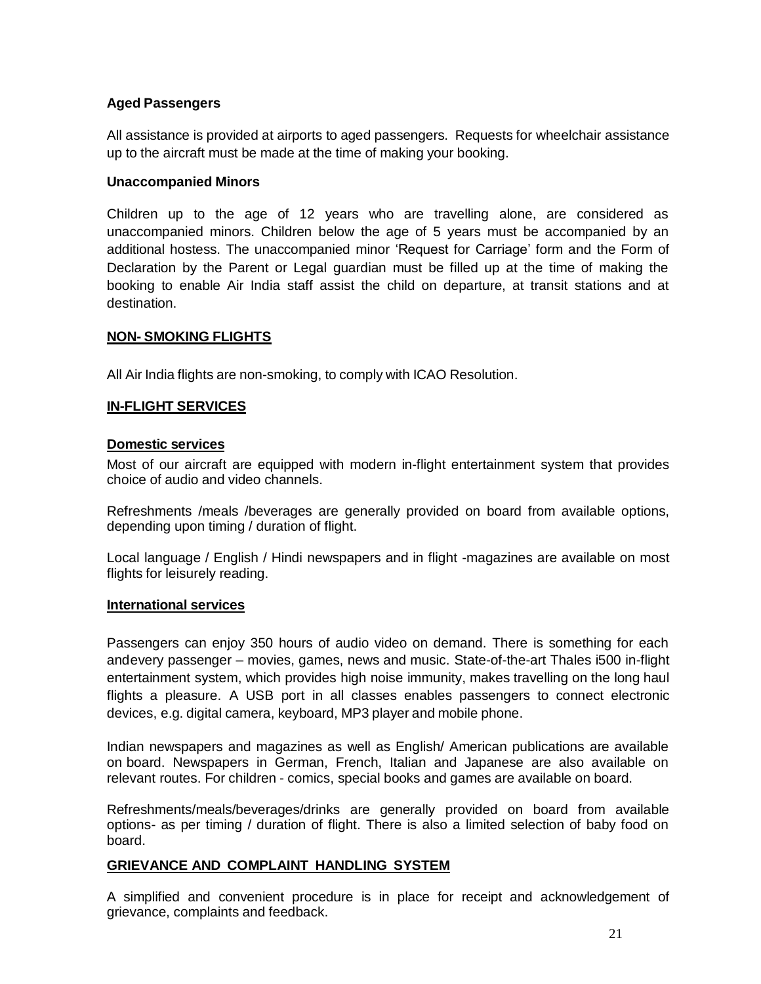# **Aged Passengers**

All assistance is provided at airports to aged passengers. Requests for wheelchair assistance up to the aircraft must be made at the time of making your booking.

# **Unaccompanied Minors**

Children up to the age of 12 years who are travelling alone, are considered as unaccompanied minors. Children below the age of 5 years must be accompanied by an additional hostess. The unaccompanied minor 'Request for Carriage' form and the Form of Declaration by the Parent or Legal guardian must be filled up at the time of making the booking to enable Air India staff assist the child on departure, at transit stations and at destination.

## **NON- SMOKING FLIGHTS**

All Air India flights are non-smoking, to comply with ICAO Resolution.

## **IN-FLIGHT SERVICES**

## **Domestic services**

Most of our aircraft are equipped with modern in-flight entertainment system that provides choice of audio and video channels.

Refreshments /meals /beverages are generally provided on board from available options, depending upon timing / duration of flight.

Local language / English / Hindi newspapers and in flight -magazines are available on most flights for leisurely reading.

#### **International services**

Passengers can enjoy 350 hours of audio video on demand. There is something for each andevery passenger – movies, games, news and music. State-of-the-art Thales i500 in-flight entertainment system, which provides high noise immunity, makes travelling on the long haul flights a pleasure. A USB port in all classes enables passengers to connect electronic devices, e.g. digital camera, keyboard, MP3 player and mobile phone.

Indian newspapers and magazines as well as English/ American publications are available on board. Newspapers in German, French, Italian and Japanese are also available on relevant routes. For children - comics, special books and games are available on board.

Refreshments/meals/beverages/drinks are generally provided on board from available options- as per timing / duration of flight. There is also a limited selection of baby food on board.

#### **GRIEVANCE AND COMPLAINT HANDLING SYSTEM**

A simplified and convenient procedure is in place for receipt and acknowledgement of grievance, complaints and feedback.